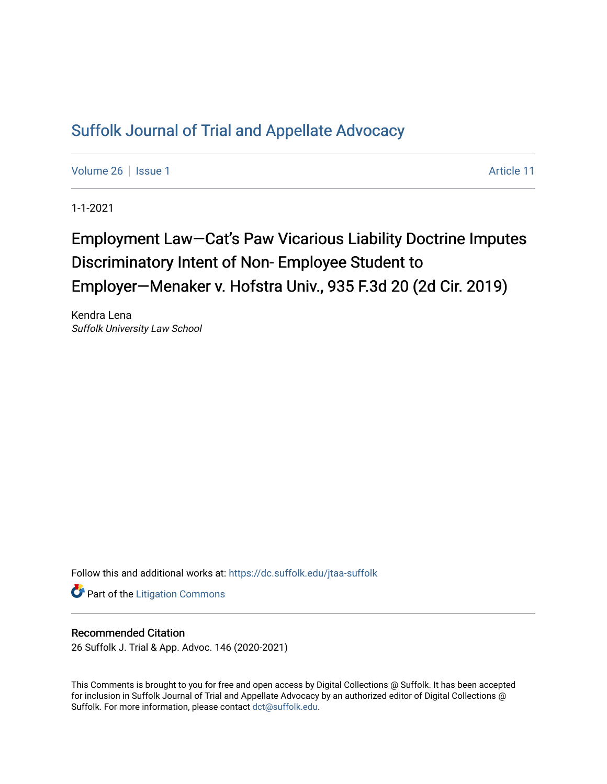## [Suffolk Journal of Trial and Appellate Advocacy](https://dc.suffolk.edu/jtaa-suffolk)

[Volume 26](https://dc.suffolk.edu/jtaa-suffolk/vol26) | [Issue 1](https://dc.suffolk.edu/jtaa-suffolk/vol26/iss1) Article 11

1-1-2021

# Employment Law—Cat's Paw Vicarious Liability Doctrine Imputes Discriminatory Intent of Non- Employee Student to Employer-Menaker v. Hofstra Univ., 935 F.3d 20 (2d Cir. 2019)

Kendra Lena Suffolk University Law School

Follow this and additional works at: [https://dc.suffolk.edu/jtaa-suffolk](https://dc.suffolk.edu/jtaa-suffolk?utm_source=dc.suffolk.edu%2Fjtaa-suffolk%2Fvol26%2Fiss1%2F11&utm_medium=PDF&utm_campaign=PDFCoverPages) 

**Part of the [Litigation Commons](https://network.bepress.com/hgg/discipline/910?utm_source=dc.suffolk.edu%2Fjtaa-suffolk%2Fvol26%2Fiss1%2F11&utm_medium=PDF&utm_campaign=PDFCoverPages)** 

### Recommended Citation

26 Suffolk J. Trial & App. Advoc. 146 (2020-2021)

This Comments is brought to you for free and open access by Digital Collections @ Suffolk. It has been accepted for inclusion in Suffolk Journal of Trial and Appellate Advocacy by an authorized editor of Digital Collections @ Suffolk. For more information, please contact [dct@suffolk.edu.](mailto:dct@suffolk.edu)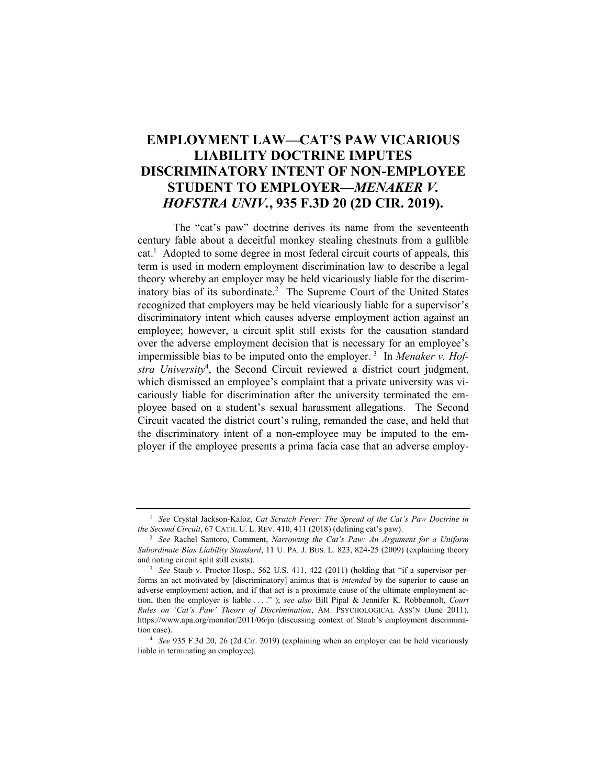## **EMPLOYMENT LAW—CAT'S PAW VICARIOUS LIABILITY DOCTRINE IMPUTES DISCRIMINATORY INTENT OF NON-EMPLOYEE STUDENT TO EMPLOYER—***MENAKER V. HOFSTRA UNIV.***, 935 F.3D 20 (2D CIR. 2019).**

The "cat's paw" doctrine derives its name from the seventeenth century fable about a deceitful monkey stealing chestnuts from a gullible cat. 1 Adopted to some degree in most federal circuit courts of appeals, this term is used in modern employment discrimination law to describe a legal theory whereby an employer may be held vicariously liable for the discriminatory bias of its subordinate.<sup>2</sup> The Supreme Court of the United States recognized that employers may be held vicariously liable for a supervisor's discriminatory intent which causes adverse employment action against an employee; however, a circuit split still exists for the causation standard over the adverse employment decision that is necessary for an employee's impermissible bias to be imputed onto the employer. <sup>3</sup> In *Menaker v. Hofstra University*<sup>4</sup> , the Second Circuit reviewed a district court judgment, which dismissed an employee's complaint that a private university was vicariously liable for discrimination after the university terminated the employee based on a student's sexual harassment allegations. The Second Circuit vacated the district court's ruling, remanded the case, and held that the discriminatory intent of a non-employee may be imputed to the employer if the employee presents a prima facia case that an adverse employ-

<sup>1</sup> *See* Crystal Jackson-Kaloz, *Cat Scratch Fever: The Spread of the Cat's Paw Doctrine in the Second Circuit*, 67 CATH. U. L. REV. 410, 411 (2018) (defining cat's paw).

<sup>2</sup> *See* Rachel Santoro, Comment, *Narrowing the Cat's Paw: An Argument for a Uniform Subordinate Bias Liability Standard*, 11 U. PA. J. BUS. L. 823, 824-25 (2009) (explaining theory and noting circuit split still exists).

<sup>3</sup> *See* Staub v. Proctor Hosp., 562 U.S. 411, 422 (2011) (holding that "if a supervisor performs an act motivated by [discriminatory] animus that is *intended* by the superior to cause an adverse employment action, and if that act is a proximate cause of the ultimate employment action, then the employer is liable . . . ." ); *see also* Bill Pipal & Jennifer K. Robbennolt, *Court Rules on 'Cat's Paw' Theory of Discrimination*, AM. PSYCHOLOGICAL ASS'N (June 2011), https://www.apa.org/monitor/2011/06/jn (discussing context of Staub's employment discrimination case).

<sup>4</sup> *See* 935 F.3d 20, 26 (2d Cir. 2019) (explaining when an employer can be held vicariously liable in terminating an employee).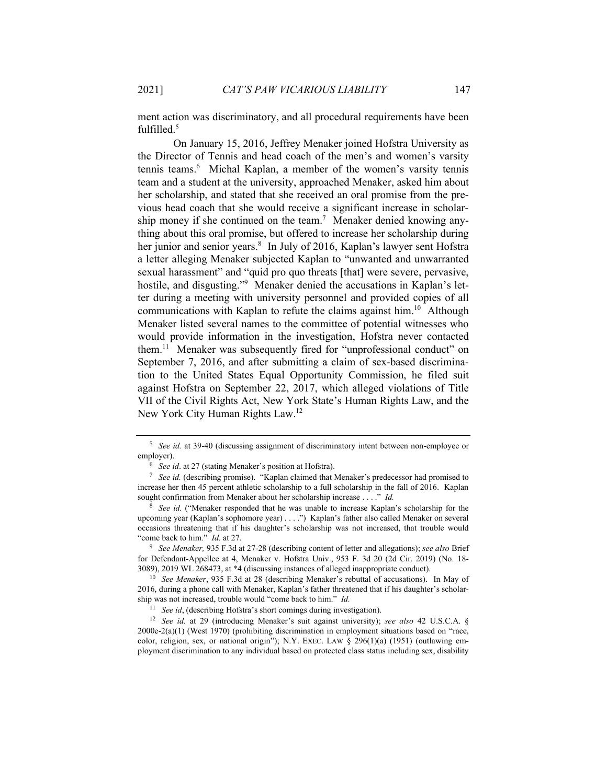ment action was discriminatory, and all procedural requirements have been fulfilled. 5

On January 15, 2016, Jeffrey Menaker joined Hofstra University as the Director of Tennis and head coach of the men's and women's varsity tennis teams.<sup>6</sup> Michal Kaplan, a member of the women's varsity tennis team and a student at the university, approached Menaker, asked him about her scholarship, and stated that she received an oral promise from the previous head coach that she would receive a significant increase in scholarship money if she continued on the team.<sup>7</sup> Menaker denied knowing anything about this oral promise, but offered to increase her scholarship during her junior and senior years.<sup>8</sup> In July of 2016, Kaplan's lawyer sent Hofstra a letter alleging Menaker subjected Kaplan to "unwanted and unwarranted sexual harassment" and "quid pro quo threats [that] were severe, pervasive, hostile, and disgusting."<sup>9</sup> Menaker denied the accusations in Kaplan's letter during a meeting with university personnel and provided copies of all communications with Kaplan to refute the claims against him.<sup>10</sup> Although Menaker listed several names to the committee of potential witnesses who would provide information in the investigation, Hofstra never contacted them. 11 Menaker was subsequently fired for "unprofessional conduct" on September 7, 2016, and after submitting a claim of sex-based discrimination to the United States Equal Opportunity Commission, he filed suit against Hofstra on September 22, 2017, which alleged violations of Title VII of the Civil Rights Act, New York State's Human Rights Law, and the New York City Human Rights Law.<sup>12</sup>

<sup>9</sup> *See Menaker,* 935 F.3d at 27-28 (describing content of letter and allegations); *see also* Brief for Defendant-Appellee at 4, Menaker v. Hofstra Univ., 953 F. 3d 20 (2d Cir. 2019) (No. 18- 3089), 2019 WL 268473, at \*4 (discussing instances of alleged inappropriate conduct).

<sup>10</sup> *See Menaker*, 935 F.3d at 28 (describing Menaker's rebuttal of accusations). In May of 2016, during a phone call with Menaker, Kaplan's father threatened that if his daughter's scholarship was not increased, trouble would "come back to him." *Id.*

<sup>11</sup> *See id*, (describing Hofstra's short comings during investigation).

<sup>12</sup> *See id.* at 29 (introducing Menaker's suit against university); *see also* 42 U.S.C.A. § 2000e-2(a)(1) (West 1970) (prohibiting discrimination in employment situations based on "race, color, religion, sex, or national origin"); N.Y. EXEC. LAW  $\S$  296(1)(a) (1951) (outlawing employment discrimination to any individual based on protected class status including sex, disability

<sup>5</sup> *See id.* at 39-40 (discussing assignment of discriminatory intent between non-employee or employer).

<sup>6</sup> *See id*. at 27 (stating Menaker's position at Hofstra).

<sup>7</sup> *See id.* (describing promise). "Kaplan claimed that Menaker's predecessor had promised to increase her then 45 percent athletic scholarship to a full scholarship in the fall of 2016. Kaplan sought confirmation from Menaker about her scholarship increase . . . ." *Id.*

See id. ("Menaker responded that he was unable to increase Kaplan's scholarship for the upcoming year (Kaplan's sophomore year) . . . .") Kaplan's father also called Menaker on several occasions threatening that if his daughter's scholarship was not increased, that trouble would "come back to him." *Id.* at 27.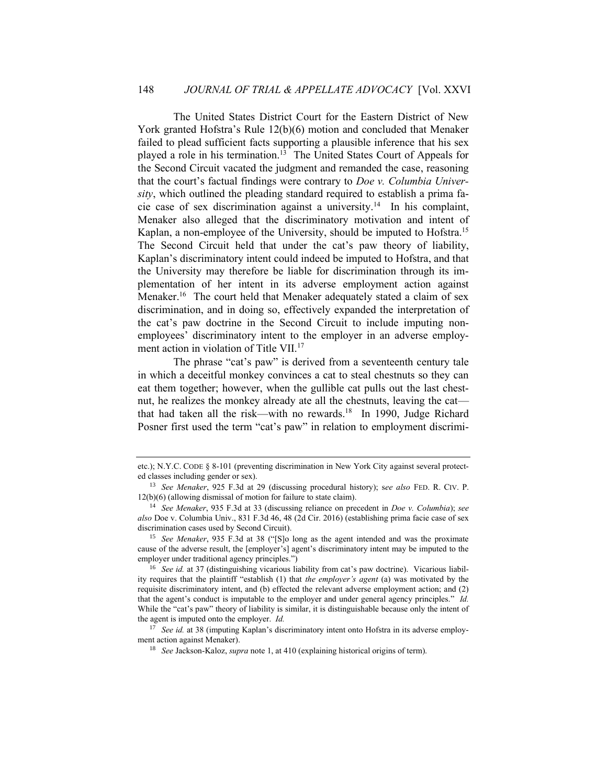The United States District Court for the Eastern District of New York granted Hofstra's Rule 12(b)(6) motion and concluded that Menaker failed to plead sufficient facts supporting a plausible inference that his sex played a role in his termination.<sup>13</sup> The United States Court of Appeals for the Second Circuit vacated the judgment and remanded the case, reasoning that the court's factual findings were contrary to *Doe v. Columbia University*, which outlined the pleading standard required to establish a prima facie case of sex discrimination against a university.<sup>14</sup> In his complaint, Menaker also alleged that the discriminatory motivation and intent of Kaplan, a non-employee of the University, should be imputed to Hofstra.<sup>15</sup> The Second Circuit held that under the cat's paw theory of liability, Kaplan's discriminatory intent could indeed be imputed to Hofstra, and that the University may therefore be liable for discrimination through its implementation of her intent in its adverse employment action against Menaker.<sup>16</sup> The court held that Menaker adequately stated a claim of sex discrimination, and in doing so, effectively expanded the interpretation of the cat's paw doctrine in the Second Circuit to include imputing nonemployees' discriminatory intent to the employer in an adverse employment action in violation of Title VII.<sup>17</sup>

The phrase "cat's paw" is derived from a seventeenth century tale in which a deceitful monkey convinces a cat to steal chestnuts so they can eat them together; however, when the gullible cat pulls out the last chestnut, he realizes the monkey already ate all the chestnuts, leaving the cat that had taken all the risk—with no rewards.<sup>18</sup> In 1990, Judge Richard Posner first used the term "cat's paw" in relation to employment discrimi-

<sup>17</sup> *See id.* at 38 (imputing Kaplan's discriminatory intent onto Hofstra in its adverse employment action against Menaker).

etc.); N.Y.C. CODE § 8-101 (preventing discrimination in New York City against several protected classes including gender or sex).

<sup>13</sup> *See Menaker*, 925 F.3d at 29 (discussing procedural history); s*ee also* FED. R. CIV. P. 12(b)(6) (allowing dismissal of motion for failure to state claim).

<sup>14</sup> *See Menaker*, 935 F.3d at 33 (discussing reliance on precedent in *Doe v. Columbia*); *see also* Doe v. Columbia Univ., 831 F.3d 46, 48 (2d Cir. 2016) (establishing prima facie case of sex discrimination cases used by Second Circuit).

<sup>15</sup> *See Menaker*, 935 F.3d at 38 ("[S]o long as the agent intended and was the proximate cause of the adverse result, the [employer's] agent's discriminatory intent may be imputed to the employer under traditional agency principles.")

<sup>&</sup>lt;sup>16</sup> *See id.* at 37 (distinguishing vicarious liability from cat's paw doctrine). Vicarious liability requires that the plaintiff "establish (1) that *the employer's agent* (a) was motivated by the requisite discriminatory intent, and (b) effected the relevant adverse employment action; and (2) that the agent's conduct is imputable to the employer and under general agency principles." *Id.* While the "cat's paw" theory of liability is similar, it is distinguishable because only the intent of the agent is imputed onto the employer. *Id.*

<sup>18</sup> *See* Jackson-Kaloz, *supra* note 1, at 410 (explaining historical origins of term).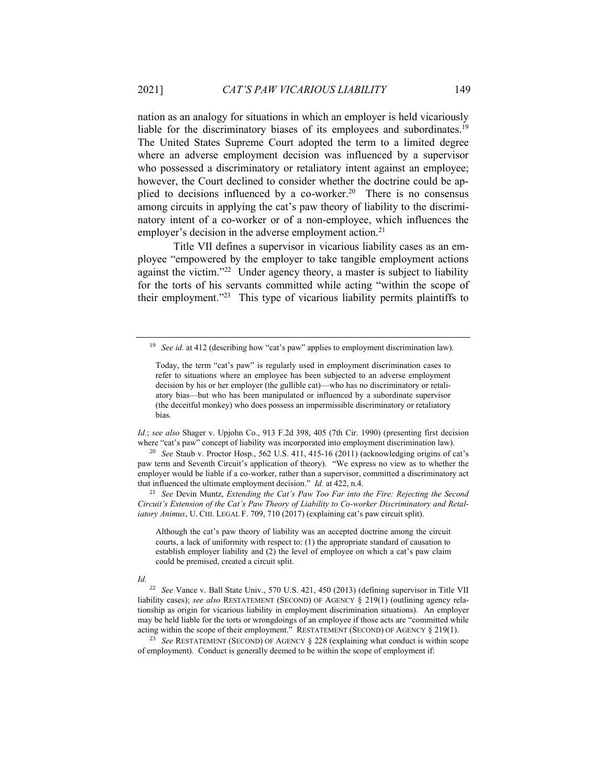nation as an analogy for situations in which an employer is held vicariously liable for the discriminatory biases of its employees and subordinates.<sup>19</sup> The United States Supreme Court adopted the term to a limited degree where an adverse employment decision was influenced by a supervisor who possessed a discriminatory or retaliatory intent against an employee; however, the Court declined to consider whether the doctrine could be applied to decisions influenced by a co-worker.<sup>20</sup> There is no consensus among circuits in applying the cat's paw theory of liability to the discriminatory intent of a co-worker or of a non-employee, which influences the employer's decision in the adverse employment action.<sup>21</sup>

Title VII defines a supervisor in vicarious liability cases as an employee "empowered by the employer to take tangible employment actions against the victim."<sup>22</sup> Under agency theory, a master is subject to liability for the torts of his servants committed while acting "within the scope of their employment." 23 This type of vicarious liability permits plaintiffs to

*Id.*; *see also* Shager v. Upjohn Co., 913 F.2d 398, 405 (7th Cir. 1990) (presenting first decision where "cat's paw" concept of liability was incorporated into employment discrimination law).

<sup>20</sup> *See* Staub v. Proctor Hosp., 562 U.S. 411, 415-16 (2011) (acknowledging origins of cat's paw term and Seventh Circuit's application of theory). "We express no view as to whether the employer would be liable if a co-worker, rather than a supervisor, committed a discriminatory act that influenced the ultimate employment decision." *Id.* at 422, n.4.

<sup>21</sup> *See* Devin Muntz, *Extending the Cat's Paw Too Far into the Fire: Rejecting the Second Circuit's Extension of the Cat's Paw Theory of Liability to Co-worker Discriminatory and Retaliatory Animus*, U. CHI. LEGAL F. 709, 710 (2017) (explaining cat's paw circuit split).

Although the cat's paw theory of liability was an accepted doctrine among the circuit courts, a lack of uniformity with respect to: (1) the appropriate standard of causation to establish employer liability and (2) the level of employee on which a cat's paw claim could be premised, created a circuit split.

#### *Id.*

<sup>22</sup> *See* Vance v. Ball State Univ., 570 U.S. 421, 450 (2013) (defining supervisor in Title VII liability cases); *see also* RESTATEMENT (SECOND) OF AGENCY § 219(1) (outlining agency relationship as origin for vicarious liability in employment discrimination situations). An employer may be held liable for the torts or wrongdoings of an employee if those acts are "committed while acting within the scope of their employment." RESTATEMENT (SECOND) OF AGENCY § 219(1).

<sup>23</sup> *See* RESTATEMENT (SECOND) OF AGENCY § 228 (explaining what conduct is within scope of employment). Conduct is generally deemed to be within the scope of employment if:

<sup>&</sup>lt;sup>19</sup> *See id.* at 412 (describing how "cat's paw" applies to employment discrimination law).

Today, the term "cat's paw" is regularly used in employment discrimination cases to refer to situations where an employee has been subjected to an adverse employment decision by his or her employer (the gullible cat)—who has no discriminatory or retaliatory bias—but who has been manipulated or influenced by a subordinate supervisor (the deceitful monkey) who does possess an impermissible discriminatory or retaliatory bias.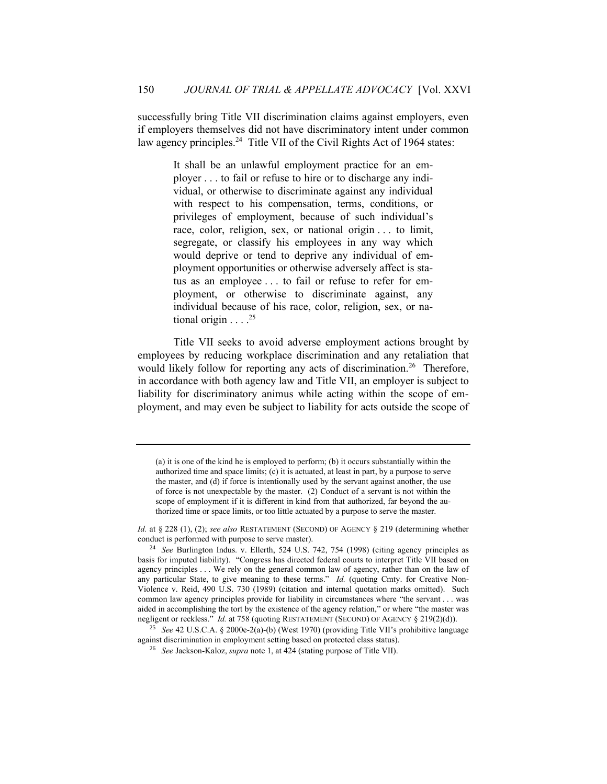successfully bring Title VII discrimination claims against employers, even if employers themselves did not have discriminatory intent under common law agency principles.<sup>24</sup> Title VII of the Civil Rights Act of 1964 states:

> It shall be an unlawful employment practice for an employer . . . to fail or refuse to hire or to discharge any individual, or otherwise to discriminate against any individual with respect to his compensation, terms, conditions, or privileges of employment, because of such individual's race, color, religion, sex, or national origin . . . to limit, segregate, or classify his employees in any way which would deprive or tend to deprive any individual of employment opportunities or otherwise adversely affect is status as an employee . . . to fail or refuse to refer for employment, or otherwise to discriminate against, any individual because of his race, color, religion, sex, or national origin . . . . 25

Title VII seeks to avoid adverse employment actions brought by employees by reducing workplace discrimination and any retaliation that would likely follow for reporting any acts of discrimination.<sup>26</sup> Therefore, in accordance with both agency law and Title VII, an employer is subject to liability for discriminatory animus while acting within the scope of employment, and may even be subject to liability for acts outside the scope of

<sup>(</sup>a) it is one of the kind he is employed to perform; (b) it occurs substantially within the authorized time and space limits; (c) it is actuated, at least in part, by a purpose to serve the master, and (d) if force is intentionally used by the servant against another, the use of force is not unexpectable by the master. (2) Conduct of a servant is not within the scope of employment if it is different in kind from that authorized, far beyond the authorized time or space limits, or too little actuated by a purpose to serve the master.

*Id.* at § 228 (1), (2); *see also* RESTATEMENT (SECOND) OF AGENCY § 219 (determining whether conduct is performed with purpose to serve master).

<sup>24</sup> *See* Burlington Indus. v. Ellerth, 524 U.S. 742, 754 (1998) (citing agency principles as basis for imputed liability). "Congress has directed federal courts to interpret Title VII based on agency principles . . . We rely on the general common law of agency, rather than on the law of any particular State, to give meaning to these terms." *Id.* (quoting Cmty. for Creative Non-Violence v. Reid, 490 U.S. 730 (1989) (citation and internal quotation marks omitted). Such common law agency principles provide for liability in circumstances where "the servant . . . was aided in accomplishing the tort by the existence of the agency relation," or where "the master was negligent or reckless." *Id.* at 758 (quoting RESTATEMENT (SECOND) OF AGENCY § 219(2)(d)).

<sup>25</sup> *See* 42 U.S.C.A. § 2000e-2(a)-(b) (West 1970) (providing Title VII's prohibitive language against discrimination in employment setting based on protected class status).

<sup>26</sup> *See* Jackson-Kaloz, *supra* note 1, at 424 (stating purpose of Title VII).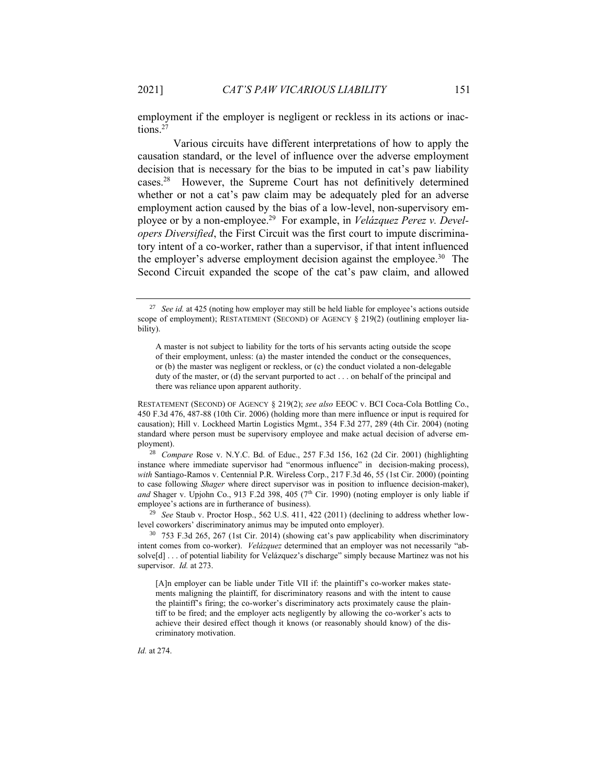employment if the employer is negligent or reckless in its actions or inactions.<sup>27</sup>

Various circuits have different interpretations of how to apply the causation standard, or the level of influence over the adverse employment decision that is necessary for the bias to be imputed in cat's paw liability cases.<sup>28</sup> However, the Supreme Court has not definitively determined whether or not a cat's paw claim may be adequately pled for an adverse employment action caused by the bias of a low-level, non-supervisory employee or by a non-employee.<sup>29</sup> For example, in *Velázquez Perez v. Developers Diversified*, the First Circuit was the first court to impute discriminatory intent of a co-worker, rather than a supervisor, if that intent influenced the employer's adverse employment decision against the employee.<sup>30</sup> The Second Circuit expanded the scope of the cat's paw claim, and allowed

RESTATEMENT (SECOND) OF AGENCY § 219(2); *see also* EEOC v. BCI Coca-Cola Bottling Co., 450 F.3d 476, 487-88 (10th Cir. 2006) (holding more than mere influence or input is required for causation); Hill v. Lockheed Martin Logistics Mgmt., 354 F.3d 277, 289 (4th Cir. 2004) (noting standard where person must be supervisory employee and make actual decision of adverse employment).

<sup>28</sup> *Compare* Rose v. N.Y.C. Bd. of Educ., 257 F.3d 156, 162 (2d Cir. 2001) (highlighting instance where immediate supervisor had "enormous influence" in decision-making process), with Santiago-Ramos v. Centennial P.R. Wireless Corp., 217 F.3d 46, 55 (1st Cir. 2000) (pointing to case following *Shager* where direct supervisor was in position to influence decision-maker), and Shager v. Upjohn Co., 913 F.2d 398, 405 (7<sup>th</sup> Cir. 1990) (noting employer is only liable if employee's actions are in furtherance of business).

<sup>29</sup> *See* Staub v. Proctor Hosp., 562 U.S. 411, 422 (2011) (declining to address whether lowlevel coworkers' discriminatory animus may be imputed onto employer).

<sup>30</sup> 753 F.3d 265, 267 (1st Cir. 2014) (showing cat's paw applicability when discriminatory intent comes from co-worker). *Velázquez* determined that an employer was not necessarily "absolve[d] . . . of potential liability for Velázquez's discharge" simply because Martinez was not his supervisor. *Id.* at 273.

[A]n employer can be liable under Title VII if: the plaintiff's co-worker makes statements maligning the plaintiff, for discriminatory reasons and with the intent to cause the plaintiff's firing; the co-worker's discriminatory acts proximately cause the plaintiff to be fired; and the employer acts negligently by allowing the co-worker's acts to achieve their desired effect though it knows (or reasonably should know) of the discriminatory motivation.

*Id.* at 274.

<sup>&</sup>lt;sup>27</sup> *See id.* at 425 (noting how employer may still be held liable for employee's actions outside scope of employment); RESTATEMENT (SECOND) OF AGENCY § 219(2) (outlining employer liability).

A master is not subject to liability for the torts of his servants acting outside the scope of their employment, unless: (a) the master intended the conduct or the consequences, or (b) the master was negligent or reckless, or (c) the conduct violated a non-delegable duty of the master, or (d) the servant purported to act . . . on behalf of the principal and there was reliance upon apparent authority.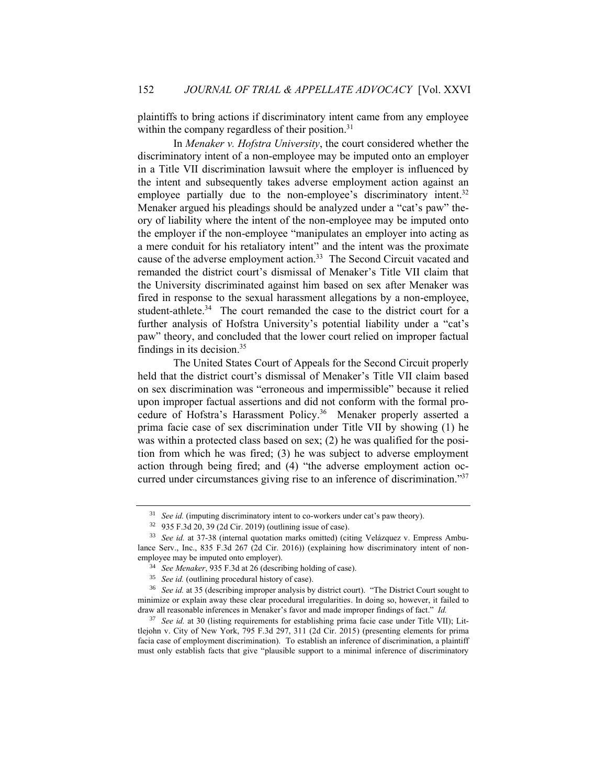plaintiffs to bring actions if discriminatory intent came from any employee within the company regardless of their position. $31$ 

In *Menaker v. Hofstra University*, the court considered whether the discriminatory intent of a non-employee may be imputed onto an employer in a Title VII discrimination lawsuit where the employer is influenced by the intent and subsequently takes adverse employment action against an employee partially due to the non-employee's discriminatory intent.<sup>32</sup> Menaker argued his pleadings should be analyzed under a "cat's paw" theory of liability where the intent of the non-employee may be imputed onto the employer if the non-employee "manipulates an employer into acting as a mere conduit for his retaliatory intent" and the intent was the proximate cause of the adverse employment action.<sup>33</sup> The Second Circuit vacated and remanded the district court's dismissal of Menaker's Title VII claim that the University discriminated against him based on sex after Menaker was fired in response to the sexual harassment allegations by a non-employee, student-athlete.<sup>34</sup> The court remanded the case to the district court for a further analysis of Hofstra University's potential liability under a "cat's paw" theory, and concluded that the lower court relied on improper factual findings in its decision. 35

The United States Court of Appeals for the Second Circuit properly held that the district court's dismissal of Menaker's Title VII claim based on sex discrimination was "erroneous and impermissible" because it relied upon improper factual assertions and did not conform with the formal procedure of Hofstra's Harassment Policy.<sup>36</sup> Menaker properly asserted a prima facie case of sex discrimination under Title VII by showing (1) he was within a protected class based on sex; (2) he was qualified for the position from which he was fired; (3) he was subject to adverse employment action through being fired; and (4) "the adverse employment action occurred under circumstances giving rise to an inference of discrimination." 37

<sup>&</sup>lt;sup>31</sup> *See id.* (imputing discriminatory intent to co-workers under cat's paw theory).

<sup>32</sup> 935 F.3d 20, 39 (2d Cir. 2019) (outlining issue of case).

<sup>&</sup>lt;sup>33</sup> See id. at 37-38 (internal quotation marks omitted) (citing Velázquez v. Empress Ambulance Serv., Inc., 835 F.3d 267 (2d Cir. 2016)) (explaining how discriminatory intent of nonemployee may be imputed onto employer).

<sup>34</sup> *See Menaker*, 935 F.3d at 26 (describing holding of case).

<sup>35</sup> *See id.* (outlining procedural history of case).

<sup>36</sup> *See id.* at 35 (describing improper analysis by district court). "The District Court sought to minimize or explain away these clear procedural irregularities. In doing so, however, it failed to draw all reasonable inferences in Menaker's favor and made improper findings of fact." *Id.*

<sup>&</sup>lt;sup>37</sup> *See id.* at 30 (listing requirements for establishing prima facie case under Title VII); Littlejohn v. City of New York, 795 F.3d 297, 311 (2d Cir. 2015) (presenting elements for prima facia case of employment discrimination). To establish an inference of discrimination, a plaintiff must only establish facts that give "plausible support to a minimal inference of discriminatory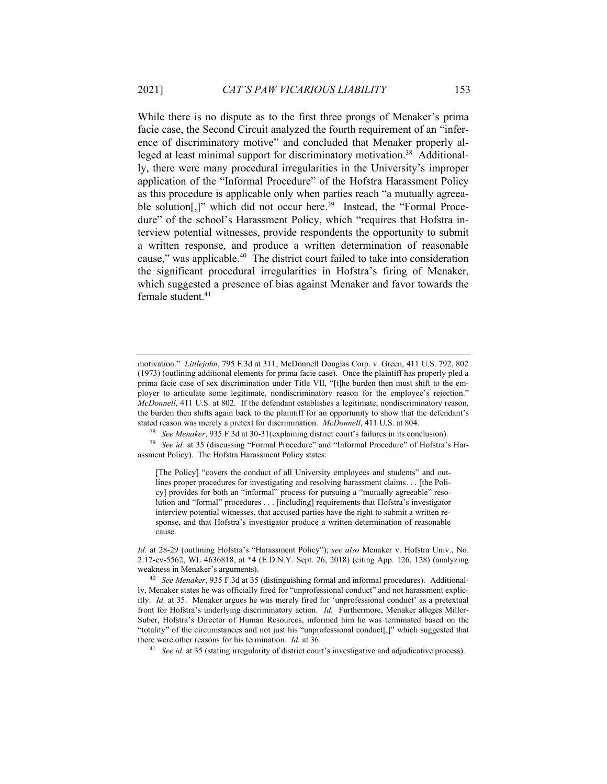While there is no dispute as to the first three prongs of Menaker's prima facie case, the Second Circuit analyzed the fourth requirement of an "inference of discriminatory motive" and concluded that Menaker properly alleged at least minimal support for discriminatory motivation.<sup>38</sup> Additionally, there were many procedural irregularities in the University's improper application of the "Informal Procedure" of the Hofstra Harassment Policy as this procedure is applicable only when parties reach "a mutually agreeable solution<sup>[1]</sup>, which did not occur here.<sup>39</sup> Instead, the "Formal Procedure" of the school's Harassment Policy, which "requires that Hofstra interview potential witnesses, provide respondents the opportunity to submit a written response, and produce a written determination of reasonable cause," was applicable.<sup>40</sup> The district court failed to take into consideration the significant procedural irregularities in Hofstra's firing of Menaker, which suggested a presence of bias against Menaker and favor towards the female student.<sup>41</sup>

[The Policy] "covers the conduct of all University employees and students" and outlines proper procedures for investigating and resolving harassment claims. . . [the Policy] provides for both an "informal" process for pursuing a "mutually agreeable" resolution and "formal" procedures . . . [including] requirements that Hofstra's investigator interview potential witnesses, that accused parties have the right to submit a written response, and that Hofstra's investigator produce a written determination of reasonable cause.

motivation." *Littlejohn*, 795 F.3d at 311; McDonnell Douglas Corp. v. Green, 411 U.S. 792, 802 (1973) (outlining additional elements for prima facie case). Once the plaintiff has properly pled a prima facie case of sex discrimination under Title VII, "[t]he burden then must shift to the employer to articulate some legitimate, nondiscriminatory reason for the employee's rejection." *McDonnell*, 411 U.S. at 802. If the defendant establishes a legitimate, nondiscriminatory reason, the burden then shifts again back to the plaintiff for an opportunity to show that the defendant's stated reason was merely a pretext for discrimination. *McDonnell*, 411 U.S. at 804.

<sup>38</sup> *See Menaker*, 935 F.3d at 30-31(explaining district court's failures in its conclusion).

<sup>39</sup> *See id.* at 35 (discussing "Formal Procedure" and "Informal Procedure" of Hofstra's Harassment Policy). The Hofstra Harassment Policy states:

*Id.* at 28-29 (outlining Hofstra's "Harassment Policy"); *see also* Menaker v. Hofstra Univ., No. 2:17-cv-5562, WL 4636818, at \*4 (E.D.N.Y. Sept. 26, 2018) (citing App. 126, 128) (analyzing weakness in Menaker's arguments).

<sup>40</sup> *See Menaker*, 935 F.3d at 35 (distinguishing formal and informal procedures). Additionally, Menaker states he was officially fired for "unprofessional conduct" and not harassment explicitly. *Id.* at 35. Menaker argues he was merely fired for 'unprofessional conduct' as a pretextual front for Hofstra's underlying discriminatory action. *Id.* Furthermore, Menaker alleges Miller-Suber, Hofstra's Director of Human Resources, informed him he was terminated based on the "totality" of the circumstances and not just his "unprofessional conduct[,]" which suggested that there were other reasons for his termination. *Id.* at 36.

<sup>&</sup>lt;sup>41</sup> *See id.* at 35 (stating irregularity of district court's investigative and adjudicative process).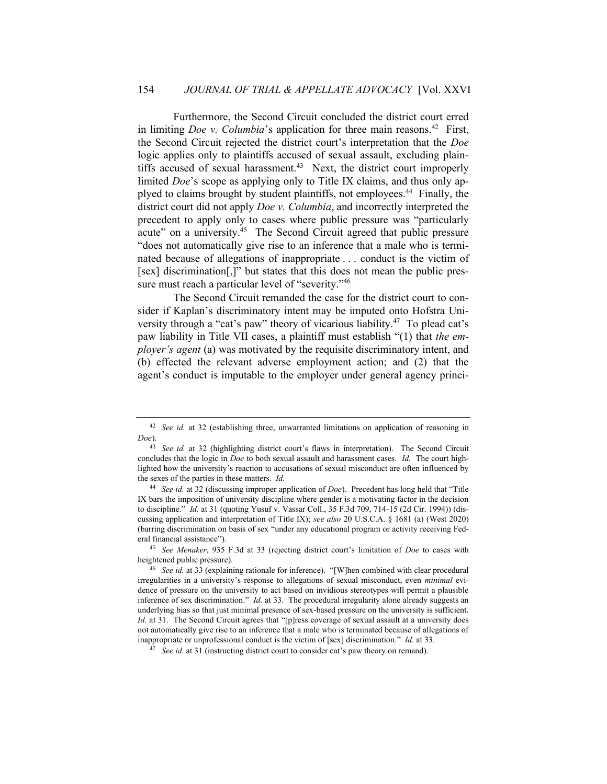Furthermore, the Second Circuit concluded the district court erred in limiting *Doe v. Columbia*'s application for three main reasons.<sup>42</sup> First, the Second Circuit rejected the district court's interpretation that the *Doe* logic applies only to plaintiffs accused of sexual assault, excluding plaintiffs accused of sexual harassment.<sup>43</sup> Next, the district court improperly limited *Doe*'s scope as applying only to Title IX claims, and thus only applyed to claims brought by student plaintiffs, not employees.<sup>44</sup> Finally, the district court did not apply *Doe v. Columbia*, and incorrectly interpreted the precedent to apply only to cases where public pressure was "particularly acute" on a university.<sup>45</sup> The Second Circuit agreed that public pressure "does not automatically give rise to an inference that a male who is terminated because of allegations of inappropriate . . . conduct is the victim of [sex] discrimination[,]" but states that this does not mean the public pressure must reach a particular level of "severity."<sup>46</sup>

The Second Circuit remanded the case for the district court to consider if Kaplan's discriminatory intent may be imputed onto Hofstra University through a "cat's paw" theory of vicarious liability.<sup>47</sup> To plead cat's paw liability in Title VII cases, a plaintiff must establish "(1) that *the employer's agent* (a) was motivated by the requisite discriminatory intent, and (b) effected the relevant adverse employment action; and (2) that the agent's conduct is imputable to the employer under general agency princi-

<sup>45</sup> *See Menaker*, 935 F.3d at 33 (rejecting district court's limitation of *Doe* to cases with heightened public pressure).

<sup>42</sup> *See id.* at 32 (establishing three, unwarranted limitations on application of reasoning in *Doe*).

<sup>&</sup>lt;sup>43</sup> *See id.* at 32 (highlighting district court's flaws in interpretation). The Second Circuit concludes that the logic in *Doe* to both sexual assault and harassment cases. *Id.* The court highlighted how the university's reaction to accusations of sexual misconduct are often influenced by the sexes of the parties in these matters. *Id.*

<sup>44</sup> *See id.* at 32 (discussing improper application of *Doe*). Precedent has long held that "Title IX bars the imposition of university discipline where gender is a motivating factor in the decision to discipline." *Id.* at 31 (quoting Yusuf v. Vassar Coll., 35 F.3d 709, 714-15 (2d Cir. 1994)) (discussing application and interpretation of Title IX); *see also* 20 U.S.C.A. § 1681 (a) (West 2020) (barring discrimination on basis of sex "under any educational program or activity receiving Federal financial assistance").

<sup>46</sup> *See id.* at 33 (explaining rationale for inference). "[W]hen combined with clear procedural irregularities in a university's response to allegations of sexual misconduct, even *minimal* evidence of pressure on the university to act based on invidious stereotypes will permit a plausible inference of sex discrimination." *Id.* at 33. The procedural irregularity alone already suggests an underlying bias so that just minimal presence of sex-based pressure on the university is sufficient. *Id.* at 31. The Second Circuit agrees that "[p]ress coverage of sexual assault at a university does not automatically give rise to an inference that a male who is terminated because of allegations of inappropriate or unprofessional conduct is the victim of [sex] discrimination." *Id.* at 33.

<sup>47</sup> *See id.* at 31 (instructing district court to consider cat's paw theory on remand).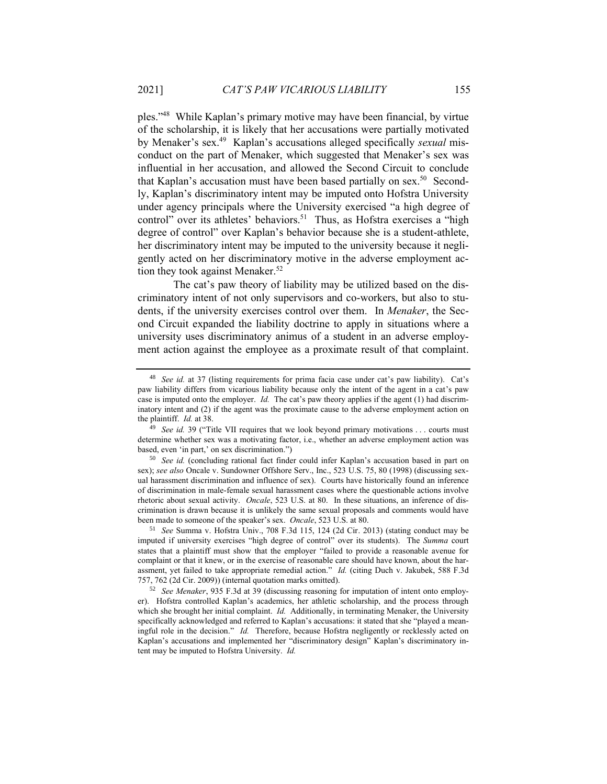ples." 48 While Kaplan's primary motive may have been financial, by virtue of the scholarship, it is likely that her accusations were partially motivated by Menaker's sex.<sup>49</sup> Kaplan's accusations alleged specifically *sexual* misconduct on the part of Menaker, which suggested that Menaker's sex was influential in her accusation, and allowed the Second Circuit to conclude that Kaplan's accusation must have been based partially on sex.<sup>50</sup> Secondly, Kaplan's discriminatory intent may be imputed onto Hofstra University under agency principals where the University exercised "a high degree of control" over its athletes' behaviors.<sup>51</sup> Thus, as Hofstra exercises a "high degree of control" over Kaplan's behavior because she is a student-athlete, her discriminatory intent may be imputed to the university because it negligently acted on her discriminatory motive in the adverse employment action they took against Menaker.<sup>52</sup>

The cat's paw theory of liability may be utilized based on the discriminatory intent of not only supervisors and co-workers, but also to students, if the university exercises control over them. In *Menaker*, the Second Circuit expanded the liability doctrine to apply in situations where a university uses discriminatory animus of a student in an adverse employment action against the employee as a proximate result of that complaint.

<sup>48</sup> *See id.* at 37 (listing requirements for prima facia case under cat's paw liability). Cat's paw liability differs from vicarious liability because only the intent of the agent in a cat's paw case is imputed onto the employer. *Id.* The cat's paw theory applies if the agent (1) had discriminatory intent and (2) if the agent was the proximate cause to the adverse employment action on the plaintiff. *Id.* at 38.

<sup>&</sup>lt;sup>49</sup> *See id.* 39 ("Title VII requires that we look beyond primary motivations . . . courts must determine whether sex was a motivating factor, i.e., whether an adverse employment action was based, even 'in part,' on sex discrimination.")

<sup>50</sup> *See id.* (concluding rational fact finder could infer Kaplan's accusation based in part on sex); *see also* Oncale v. Sundowner Offshore Serv., Inc., 523 U.S. 75, 80 (1998) (discussing sexual harassment discrimination and influence of sex). Courts have historically found an inference of discrimination in male-female sexual harassment cases where the questionable actions involve rhetoric about sexual activity. *Oncale*, 523 U.S. at 80. In these situations, an inference of discrimination is drawn because it is unlikely the same sexual proposals and comments would have been made to someone of the speaker's sex. *Oncale*, 523 U.S. at 80.

<sup>51</sup> *See* Summa v. Hofstra Univ., 708 F.3d 115, 124 (2d Cir. 2013) (stating conduct may be imputed if university exercises "high degree of control" over its students). The *Summa* court states that a plaintiff must show that the employer "failed to provide a reasonable avenue for complaint or that it knew, or in the exercise of reasonable care should have known, about the harassment, yet failed to take appropriate remedial action." *Id.* (citing Duch v. Jakubek, 588 F.3d 757, 762 (2d Cir. 2009)) (internal quotation marks omitted).

<sup>52</sup> *See Menaker*, 935 F.3d at 39 (discussing reasoning for imputation of intent onto employer). Hofstra controlled Kaplan's academics, her athletic scholarship, and the process through which she brought her initial complaint. *Id.* Additionally, in terminating Menaker, the University specifically acknowledged and referred to Kaplan's accusations: it stated that she "played a meaningful role in the decision." *Id.* Therefore, because Hofstra negligently or recklessly acted on Kaplan's accusations and implemented her "discriminatory design" Kaplan's discriminatory intent may be imputed to Hofstra University. *Id.*